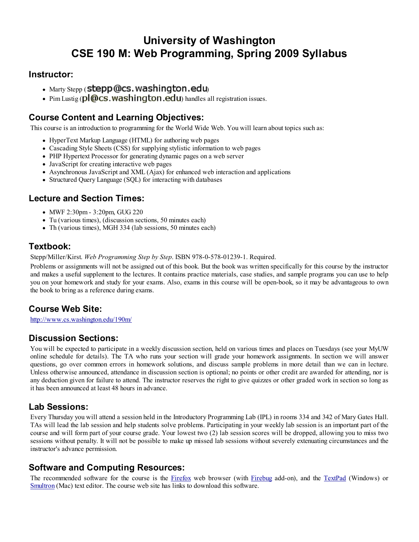# University of Washington CSE 190 M: Web Programming, Spring 2009 Syllabus

#### Instructor:

- Marty Stepp  $($  stepp $($ @cs. washington.edu $)$
- Pim Lustig (pl@cs.washington.edu) handles all registration issues.

# Course Content and Learning Objectives:

This course is an introduction to programming for the World Wide Web. You will learn about topics such as:

- HyperText Markup Language (HTML) for authoring web pages
- Cascading Style Sheets (CSS) for supplying stylistic information to web pages
- PHP Hypertext Processor for generating dynamic pages on a web server
- JavaScript for creating interactive web pages
- Asynchronous JavaScript and XML (Ajax) for enhanced web interaction and applications
- Structured Query Language (SQL) for interacting with databases

#### Lecture and Section Times:

- MWF 2:30pm 3:20pm, GUG 220
- Tu (various times), (discussion sections, 50 minutes each)
- Th (various times), MGH 334 (lab sessions, 50 minutes each)

#### Textbook:

Stepp/Miller/Kirst. Web Programming Step by Step. ISBN 978-0-578-01239-1. Required.

Problems or assignments will not be assigned out of this book. But the book was written specifically for this course by the instructor and makes a useful supplement to the lectures. It contains practice materials, case studies, and sample programs you can use to help you on your homework and study for your exams. Also, exams in this course will be open-book, so it may be advantageous to own the book to bring as a reference during exams.

## Course Web Site:

http://www.cs.washington.edu/190m/

## Discussion Sections:

You will be expected to participate in a weekly discussion section, held on various times and places on Tuesdays (see your MyUW online schedule for details). The TA who runs your section will grade your homework assignments. In section we will answer questions, go over common errors in homework solutions, and discuss sample problems in more detail than we can in lecture. Unless otherwise announced, attendance in discussion section is optional; no points or other credit are awarded for attending, nor is any deduction given for failure to attend. The instructor reserves the right to give quizzes or other graded work in section so long as it has been announced at least 48 hours in advance.

#### Lab Sessions:

Every Thursday you will attend a session held in the Introductory Programming Lab (IPL) in rooms 334 and 342 of Mary Gates Hall. TAs will lead the lab session and help students solve problems. Participating in your weekly lab session is an important part of the course and will form part of your course grade. Your lowest two (2) lab session scores will be dropped, allowing you to miss two sessions without penalty. It will not be possible to make up missed lab sessions without severely extenuating circumstances and the instructor's advance permission.

## Software and Computing Resources:

The recommended software for the course is the Firefox web browser (with Firebug add-on), and the TextPad (Windows) or Smultron (Mac) text editor. The course web site has links to download this software.